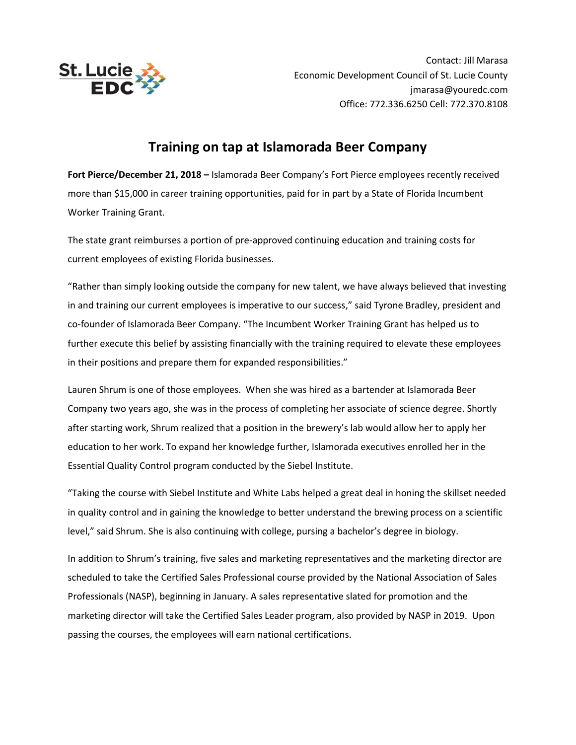

Contact: Jill Marasa Economic Development Council of St. Lucie County jmarasa@youredc.com Office: 772.336.6250 Cell: 772.370.8108

## **Training on tap at Islamorada Beer Company**

**Fort Pierce/December 21, 2018 –** Islamorada Beer Company's Fort Pierce employees recently received more than \$15,000 in career training opportunities, paid for in part by a State of Florida Incumbent Worker Training Grant.

The state grant reimburses a portion of pre-approved continuing education and training costs for current employees of existing Florida businesses.

"Rather than simply looking outside the company for new talent, we have always believed that investing in and training our current employees is imperative to our success," said Tyrone Bradley, president and co-founder of Islamorada Beer Company. "The Incumbent Worker Training Grant has helped us to further execute this belief by assisting financially with the training required to elevate these employees in their positions and prepare them for expanded responsibilities."

Lauren Shrum is one of those employees. When she was hired as a bartender at Islamorada Beer Company two years ago, she was in the process of completing her associate of science degree. Shortly after starting work, Shrum realized that a position in the brewery's lab would allow her to apply her education to her work. To expand her knowledge further, Islamorada executives enrolled her in the Essential Quality Control program conducted by the Siebel Institute.

"Taking the course with Siebel Institute and White Labs helped a great deal in honing the skillset needed in quality control and in gaining the knowledge to better understand the brewing process on a scientific level," said Shrum. She is also continuing with college, pursing a bachelor's degree in biology.

In addition to Shrum's training, five sales and marketing representatives and the marketing director are scheduled to take the Certified Sales Professional course provided by the National Association of Sales Professionals (NASP), beginning in January. A sales representative slated for promotion and the marketing director will take the Certified Sales Leader program, also provided by NASP in 2019. Upon passing the courses, the employees will earn national certifications.